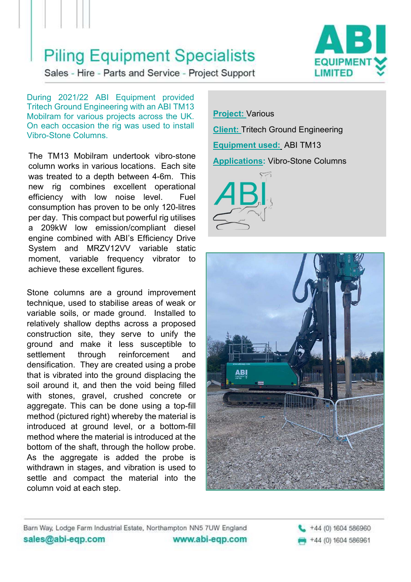## **Piling Equipment Specialists**



Sales - Hire - Parts and Service - Project Support

During 2021/22 ABI Equipment provided Tritech Ground Engineering with an ABI TM13 Mobilram for various projects across the UK. On each occasion the rig was used to install Vibro-Stone Columns.

The TM13 Mobilram undertook vibro-stone<br> **Applications:** Vibro-Stone Columns column works in various locations. Each site was treated to a depth between 4-6m. This new rig combines excellent operational efficiency with low noise level. Fuel consumption has proven to be only 120-litres per day. This compact but powerful rig utilises a 209kW low emission/compliant diesel engine combined with ABI's Efficiency Drive System and MRZV12VV variable static moment, variable frequency vibrator to achieve these excellent figures.

Stone columns are a ground improvement technique, used to stabilise areas of weak or variable soils, or made ground. Installed to relatively shallow depths across a proposed construction site, they serve to unify the ground and make it less susceptible to settlement through reinforcement and densification. They are created using a probe that is vibrated into the ground displacing the soil around it, and then the void being filled with stones, gravel, crushed concrete or aggregate. This can be done using a top-fill method (pictured right) whereby the material is introduced at ground level, or a bottom-fill method where the material is introduced at the bottom of the shaft, through the hollow probe. As the aggregate is added the probe is withdrawn in stages, and vibration is used to settle and compact the material into the column void at each step.

Project: Various Client: Tritech Ground Engineering Equipment used: ABI TM13  $\approx$ 





Barn Way, Lodge Farm Industrial Estate, Northampton NN5 7UW England sales@abi-eqp.com www.abi-eqp.com +44 (0) 1604 586960 +44 (0) 1604 586961